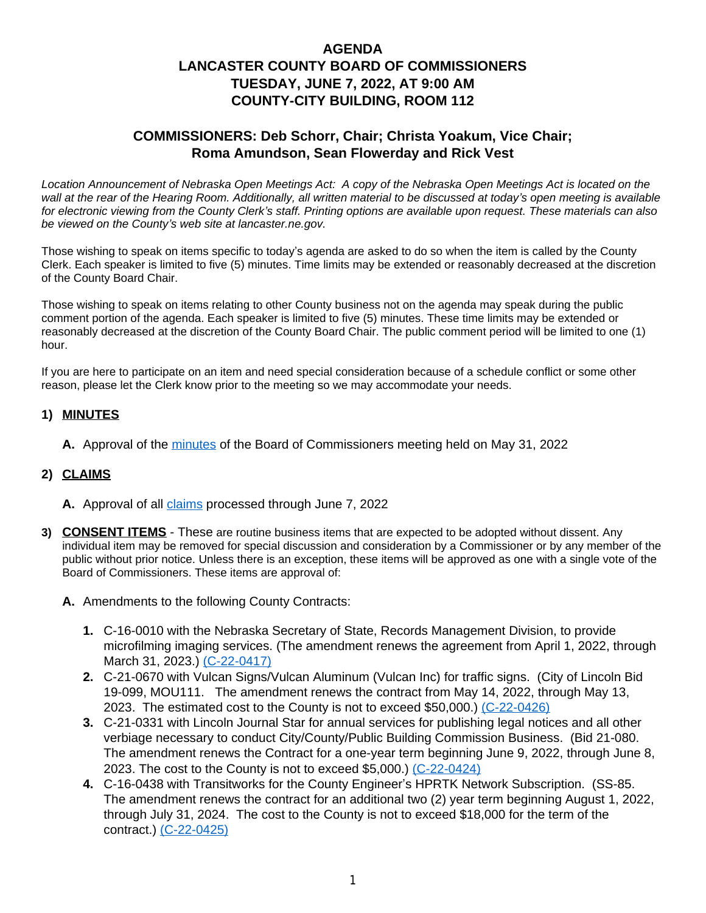# **AGENDA LANCASTER COUNTY BOARD OF COMMISSIONERS TUESDAY, JUNE 7, 2022, AT 9:00 AM COUNTY-CITY BUILDING, ROOM 112**

## **COMMISSIONERS: Deb Schorr, Chair; Christa Yoakum, Vice Chair; Roma Amundson, Sean Flowerday and Rick Vest**

*Location Announcement of Nebraska Open Meetings Act: A copy of the Nebraska Open Meetings Act is located on the wall at the rear of the Hearing Room. Additionally, all written material to be discussed at today's open meeting is available for electronic viewing from the County Clerk's staff. Printing options are available upon request. These materials can also be viewed on the County's web site at lancaster.ne.gov.*

Those wishing to speak on items specific to today's agenda are asked to do so when the item is called by the County Clerk. Each speaker is limited to five (5) minutes. Time limits may be extended or reasonably decreased at the discretion of the County Board Chair.

Those wishing to speak on items relating to other County business not on the agenda may speak during the public comment portion of the agenda. Each speaker is limited to five (5) minutes. These time limits may be extended or reasonably decreased at the discretion of the County Board Chair. The public comment period will be limited to one (1) hour.

If you are here to participate on an item and need special consideration because of a schedule conflict or some other reason, please let the Clerk know prior to the meeting so we may accommodate your needs.

### **1) MINUTES**

**A.** Approval of the [minutes](https://www.lancaster.ne.gov/DocumentCenter/View/14069/mi220531-PDF-) of the Board of Commissioners meeting held on May 31, 2022

#### **2) CLAIMS**

- **A.** Approval of all [claims](https://www.lancaster.ne.gov/DocumentCenter/View/14125/Claims-PDF-) processed through June 7, 2022
- **3) CONSENT ITEMS** These are routine business items that are expected to be adopted without dissent. Any individual item may be removed for special discussion and consideration by a Commissioner or by any member of the public without prior notice. Unless there is an exception, these items will be approved as one with a single vote of the Board of Commissioners. These items are approval of:
	- **A.** Amendments to the following County Contracts:
		- **1.** C-16-0010 with the Nebraska Secretary of State, Records Management Division, to provide microfilming imaging services. (The amendment renews the agreement from April 1, 2022, through March 31, 2023.) [\(C-22-0417\)](https://www.lancaster.ne.gov/DocumentCenter/View/14081/C-22-0417-PDF-)
		- **2.** C-21-0670 with Vulcan Signs/Vulcan Aluminum (Vulcan Inc) for traffic signs. (City of Lincoln Bid 19-099, MOU111. The amendment renews the contract from May 14, 2022, through May 13, 2023. The estimated cost to the County is not to exceed \$50,000.) [\(C-22-0426\)](https://www.lancaster.ne.gov/DocumentCenter/View/14105/C-22-0426-PDF-)
		- **3.** [C-21-0331 with Lincoln Journal Star for annual services for publishing legal notices and all other](https://www.lancaster.ne.gov/DocumentCenter/View/14105/C-22-0426-PDF-)  [verbiage necessary to conduct City/County/Public Building Commission Business.](https://www.lancaster.ne.gov/DocumentCenter/View/14105/C-22-0426-PDF-) [\(Bid 21-080.](https://www.lancaster.ne.gov/DocumentCenter/View/14105/C-22-0426-PDF-)  [The amendment renews the Contract for a one-year term beginning June 9, 2022, through June 8,](https://www.lancaster.ne.gov/DocumentCenter/View/14105/C-22-0426-PDF-)  [2023. The cost to the County is not to exceed \\$5,000.\)](https://www.lancaster.ne.gov/DocumentCenter/View/14105/C-22-0426-PDF-) [\(C-22-0424\)](https://www.lancaster.ne.gov/DocumentCenter/View/14115/C-22-0424-PDF-)
		- **4.** C-16-0438 with Transitworks for the County Engineer's HPRTK Network Subscription. (SS-85. The amendment renews the contract for an additional two (2) year term beginning August 1, 2022, through July 31, 2024. The cost to the County is not to exceed \$18,000 for the term of the contract.) [\(C-22-0425\)](https://www.lancaster.ne.gov/DocumentCenter/View/14116/C-22-0425-PDF-)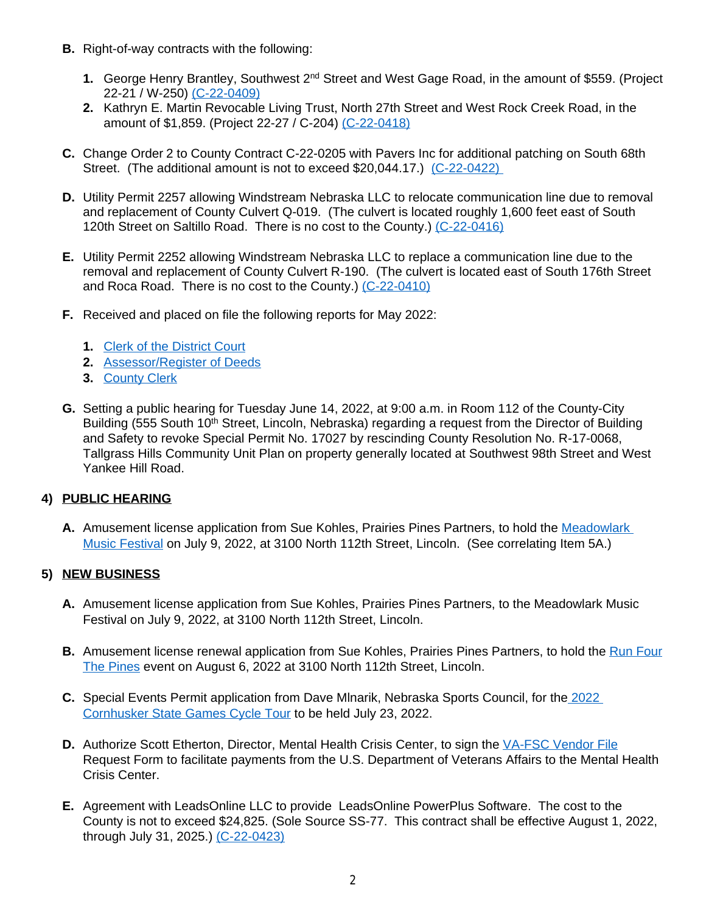- **B.** Right-of-way contracts with the following:
	- **1.** George Henry Brantley, Southwest 2<sup>nd</sup> Street and West Gage Road, in the amount of \$559. (Project 22-21 / W-250) [\(C-22-0409\)](https://www.lancaster.ne.gov/DocumentCenter/View/14073/C-22-0409-PDF-)
	- **2.** [Kathryn E. Martin Revocable Living Trust,](https://www.lancaster.ne.gov/DocumentCenter/View/14073/C-22-0409-PDF-) [North 27th Street and West Rock Creek Road, in the](https://www.lancaster.ne.gov/DocumentCenter/View/14073/C-22-0409-PDF-)  [amount of \\$1,859. \(Project 22-27 /](https://www.lancaster.ne.gov/DocumentCenter/View/14073/C-22-0409-PDF-) [C-204\)](https://www.lancaster.ne.gov/DocumentCenter/View/14073/C-22-0409-PDF-) [\(C-22-0418\)](https://www.lancaster.ne.gov/DocumentCenter/View/14082/C-22-0418-PDF-)
- **C.** [Change Order](https://www.lancaster.ne.gov/DocumentCenter/View/14082/C-22-0418-PDF-) [2 to County Contract C-22-0205 with Pavers Inc for additional patching on South 68th](https://www.lancaster.ne.gov/DocumentCenter/View/14082/C-22-0418-PDF-)  [Street.](https://www.lancaster.ne.gov/DocumentCenter/View/14082/C-22-0418-PDF-) [\(The additional amount is not to exceed \\$20,044.17.\)](https://www.lancaster.ne.gov/DocumentCenter/View/14082/C-22-0418-PDF-) (C-22-0422)
- **D.** [Utility Permit 2257 allowing Windstream Nebraska LLC to relocate communication line due to removal](https://www.lancaster.ne.gov/DocumentCenter/View/14064/C-22-0422-PDF-)  [and replacement of County Culvert Q-019. \(The culvert is located roughly 1,600 feet east of South](https://www.lancaster.ne.gov/DocumentCenter/View/14064/C-22-0422-PDF-) [120th Street on Saltillo Road. There is no cost to the County.\)](https://www.lancaster.ne.gov/DocumentCenter/View/14064/C-22-0422-PDF-) [\(C-22-0416\)](https://www.lancaster.ne.gov/DocumentCenter/View/14080/C-22-0416-PDF-)
- **E.** [Utility Permit 2252 allowing Windstream Nebraska LLC to replace a communication line due to the](https://www.lancaster.ne.gov/DocumentCenter/View/14080/C-22-0416-PDF-)  [removal and replacement of County Culvert R-190. \(The culvert is located east of South 176th Street](https://www.lancaster.ne.gov/DocumentCenter/View/14080/C-22-0416-PDF-)  [and Roca Road. There is no cost to the County.\)](https://www.lancaster.ne.gov/DocumentCenter/View/14080/C-22-0416-PDF-) [\(C-22-0410\)](https://www.lancaster.ne.gov/DocumentCenter/View/14074/C-22-0410-PDF-)
- **F.** Received and placed on file the following reports for May 2022:
	- **1.** [Clerk of the District Court](https://www.lancaster.ne.gov/DocumentCenter/View/14065/Clerk-of-District-Court-Report---May-2022v-PDF-)
	- **2.** [Assessor/Register of Deeds](https://www.lancaster.ne.gov/DocumentCenter/View/14109/ROD-Monthly-Report-may-2022-PDF-)
	- **3.** [County Clerk](https://www.lancaster.ne.gov/DocumentCenter/View/14108/Clerk-PDF-)
- **G.** Setting a public hearing for Tuesday June 14, 2022, at 9:00 a.m. in Room 112 of the County-City Building (555 South 10<sup>th</sup> Street, Lincoln, Nebraska) regarding a request from the Director of Building and Safety to revoke Special Permit No. 17027 by rescinding County Resolution No. R-17-0068, Tallgrass Hills Community Unit Plan on property generally located at Southwest 98th Street and West Yankee Hill Road.

### **4) PUBLIC HEARING**

**A.** Amusement license application from Sue Kohles, Prairies Pines Partners, to hold the [Meadowlark](https://www.lancaster.ne.gov/DocumentCenter/View/14067/Meadowlark-Music-Festival-PDF-)  Music Festival on July 9, 2022, at 3100 North 112th Street, Lincoln. (See correlating Item 5A.)

### **5) NEW BUSINESS**

- **A.** Amusement license application from Sue Kohles, Prairies Pines Partners, to the Meadowlark Music Festival on July 9, 2022, at 3100 North 112th Street, Lincoln.
- **B.** Amusement license renewal application from Sue Kohles, Prairies Pines Partners, to hold the [Run Four](https://www.lancaster.ne.gov/DocumentCenter/View/14070/Run-Four-the-Pines-PDF-) The Pines event on August 6, 2022 at 3100 North 112th Street, Lincoln.
- **C.** Special Events Permit application from Dave Mlnarik, Nebraska Sports Council, for the 2022 [Cornhusker State Games Cycle Tour](https://www.lancaster.ne.gov/DocumentCenter/View/14066/Cycle-Tours-PDF-) to be held July 23, 2022.
- **D.** Authorize Scott Etherton, Director, Mental Health Crisis Center, to sign the [VA-FSC Vendor File](https://www.lancaster.ne.gov/DocumentCenter/View/14068/MHCC-PDF-) Request Form to facilitate payments from the U.S. Department of Veterans Affairs to the Mental Health Crisis Center.
- **E.** Agreement with LeadsOnline LLC to provide LeadsOnline PowerPlus Software. The cost to the County is not to exceed \$24,825. (Sole Source SS-77. This contract shall be effective August 1, 2022, through July 31, 2025.) [\(C-22-0423\)](https://www.lancaster.ne.gov/DocumentCenter/View/14114/C-22-0423-PDF-)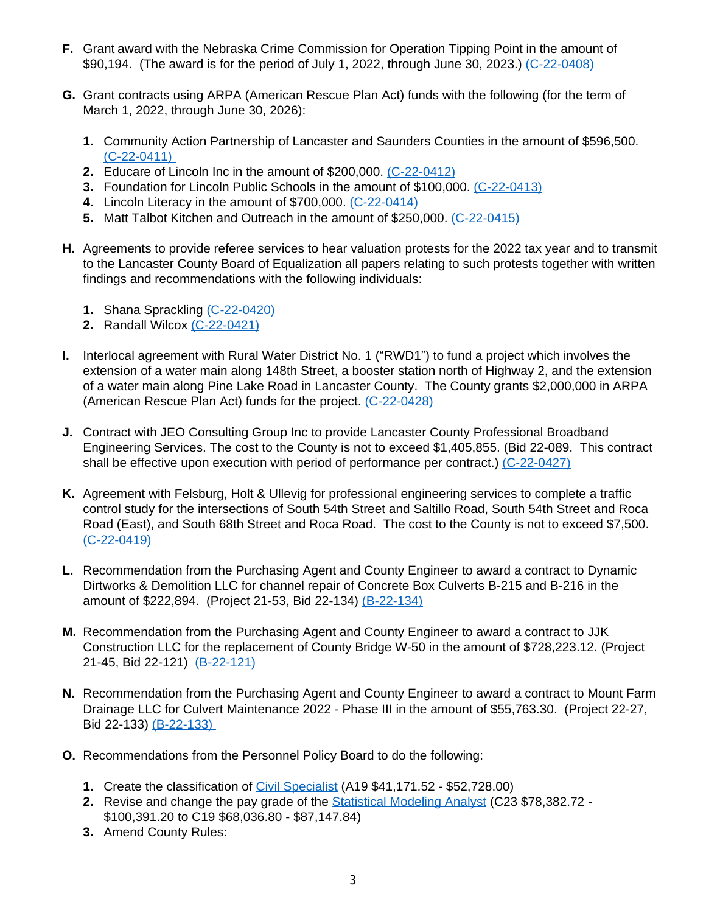- **F.** Grant award with the Nebraska Crime Commission for Operation Tipping Point in the amount of \$90,194. (The award is for the period of July 1, 2022, through June 30, 2023.) [\(C-22-0408\)](https://www.lancaster.ne.gov/DocumentCenter/View/14072/C-22-0408-PDF-)
- **G.** Grant contracts using ARPA (American Rescue Plan Act) funds with the following (for the term of March 1, 2022, through June 30, 2026):
	- **1.** Community Action Partnership of Lancaster and Saunders Counties in the amount of \$596,500. [\(C-22-0411\)](https://www.lancaster.ne.gov/DocumentCenter/View/14075/C-22-0411-PDF-)
	- **2.** Educare of Lincoln Inc in the amount of \$200,000. [\(C-22-0412\)](https://www.lancaster.ne.gov/DocumentCenter/View/14076/C-22-0412-PDF-)
	- **3.** Foundation for Lincoln Public Schools in the amount of \$100,000. [\(C-22-0413\)](https://www.lancaster.ne.gov/DocumentCenter/View/14077/C-22-0413-PDF-)
	- **4.** Lincoln Literacy in the amount of \$700,000. [\(C-22-0414\)](https://www.lancaster.ne.gov/DocumentCenter/View/14078/C-22-0414-PDF-)
	- **5.** Matt Talbot Kitchen and Outreach in the amount of \$250,000. [\(C-22-0415\)](https://www.lancaster.ne.gov/DocumentCenter/View/14079/C-22-0415-PDF-)
- **H.** Agreements to provide referee services to hear valuation protests for the 2022 tax year and to transmit to the Lancaster County Board of Equalization all papers relating to such protests together with written findings and recommendations with the following individuals:
	- **1.** Shana Sprackling [\(C-22-0420\)](https://www.lancaster.ne.gov/DocumentCenter/View/14062/C-22-0420-PDF-)
	- **2.** Randall Wilcox [\(C-22-0421\)](https://www.lancaster.ne.gov/DocumentCenter/View/14063/C-22-0421-PDF-)
- **I.** Interlocal agreement with Rural Water District No. 1 ("RWD1") to fund a project which involves the extension of a water main along 148th Street, a booster station north of Highway 2, and the extension of a water main along Pine Lake Road in Lancaster County. The County grants \$2,000,000 in ARPA (American Rescue Plan Act) funds for the project. [\(C-22-0428\)](https://www.lancaster.ne.gov/DocumentCenter/View/14124/C-22-0428-PDF-)
- **J.** Contract with JEO Consulting Group Inc to provide Lancaster County Professional Broadband Engineering Services. The cost to the County is not to exceed \$1,405,855. (Bid 22-089. This contract shall be effective upon execution with period of performance per contract.) [\(C-22-0427\)](https://www.lancaster.ne.gov/DocumentCenter/View/14106/C-22-0427-PDF-)
- **K.** Agreement with Felsburg, Holt & Ullevig for professional engineering services to complete a traffic control study for the intersections of South 54th Street and Saltillo Road, South 54th Street and Roca Road (East), and South 68th Street and Roca Road. The cost to the County is not to exceed \$7,500. [\(C-22-0419\)](https://www.lancaster.ne.gov/DocumentCenter/View/14061/C-22-0419-PDF-)
- **L.** [Recommendation from the Purchasing Agent and County Engineer to award a contract to Dynamic](https://www.lancaster.ne.gov/DocumentCenter/View/14061/C-22-0419-PDF-)  [Dirtworks & Demolition LLC for channel repair of Concrete Box Culverts B-215 and B-216 in the](https://www.lancaster.ne.gov/DocumentCenter/View/14061/C-22-0419-PDF-)  [amount of \\$222,894. \(Project 21-53, Bid 22-134\)](https://www.lancaster.ne.gov/DocumentCenter/View/14061/C-22-0419-PDF-) [\(B-22-134\)](https://www.lancaster.ne.gov/DocumentCenter/View/14071/B-22-134--PDF-)
- **M.** [Recommendation from the Purchasing Agent and County Engineer to award a contract to JJK](https://www.lancaster.ne.gov/DocumentCenter/View/14071/B-22-134--PDF-)  [Construction LLC](https://www.lancaster.ne.gov/DocumentCenter/View/14071/B-22-134--PDF-) [for the replacement of County Bridge W-50 in the amount of \\$728,223.12. \(Project](https://www.lancaster.ne.gov/DocumentCenter/View/14071/B-22-134--PDF-)  [21-45, Bid 22-121\)](https://www.lancaster.ne.gov/DocumentCenter/View/14071/B-22-134--PDF-) [\(B-22-121\)](https://www.lancaster.ne.gov/DocumentCenter/View/14118/B-22-121-PDF)
- **N.** [Recommendation from the Purchasing Agent and County Engineer to award a contract to Mount Farm](https://www.lancaster.ne.gov/DocumentCenter/View/14118/B-22-121-PDF)  [Drainage LLC for Culvert Maintenance 2022 - Phase III in](https://www.lancaster.ne.gov/DocumentCenter/View/14118/B-22-121-PDF) [the amount of \\$55,763.30. \(Project 22-27,](https://www.lancaster.ne.gov/DocumentCenter/View/14118/B-22-121-PDF) [Bid 22-133\)](https://www.lancaster.ne.gov/DocumentCenter/View/14118/B-22-121-PDF) [\(B-22-133\)](https://www.lancaster.ne.gov/DocumentCenter/View/14117/B-22-133-PDF)
- **O.** Recommendations from the Personnel Policy Board to do the following:
	- **1.** Create the classification of [Civil Specialist](https://www.lancaster.ne.gov/DocumentCenter/View/14107/Civil-Specialist-PDF-) (A19 \$41,171.52 \$52,728.00)
	- **2.** Revise and change the pay grade of the [Statistical Modeling Analyst](https://www.lancaster.ne.gov/DocumentCenter/View/14113/Statistical-Modeling-Analyst-PDF-) (C23 \$78,382.72 \$100,391.20 to C19 \$68,036.80 - \$87,147.84)
	- **3.** Amend County Rules: